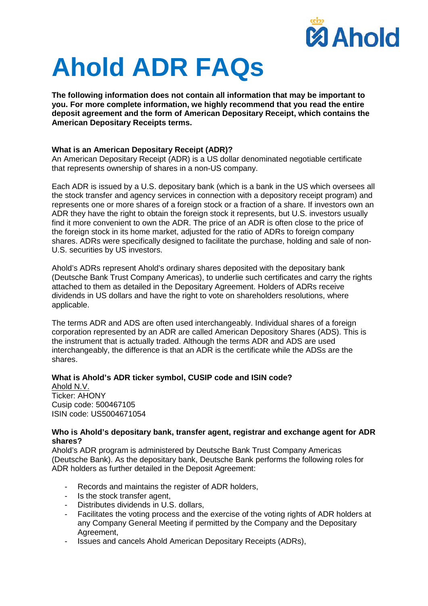

# **Ahold ADR FAQs**

**The following information does not contain all information that may be important to you. For more complete information, we highly recommend that you read the entire deposit agreement and the form of American Depositary Receipt, which contains the American Depositary Receipts terms.**

# **What is an American Depositary Receipt (ADR)?**

An American Depositary Receipt (ADR) is a US dollar denominated negotiable certificate that represents ownership of shares in a non-US company.

Each ADR is issued by a U.S. depositary bank (which is a bank in the US which oversees all the stock transfer and agency services in connection with a depository receipt program) and represents one or more shares of a foreign stock or a fraction of a share. If investors own an ADR they have the right to obtain the foreign stock it represents, but U.S. investors usually find it more convenient to own the ADR. The price of an ADR is often close to the price of the foreign stock in its home market, adjusted for the ratio of ADRs to foreign company shares. ADRs were specifically designed to facilitate the purchase, holding and sale of non-U.S. securities by US investors.

Ahold's ADRs represent Ahold's ordinary shares deposited with the depositary bank (Deutsche Bank Trust Company Americas), to underlie such certificates and carry the rights attached to them as detailed in the Depositary Agreement. Holders of ADRs receive dividends in US dollars and have the right to vote on shareholders resolutions, where applicable.

The terms ADR and ADS are often used interchangeably. Individual shares of a foreign corporation represented by an ADR are called American Depository Shares (ADS). This is the instrument that is actually traded. Although the terms ADR and ADS are used interchangeably, the difference is that an ADR is the certificate while the ADSs are the shares.

# **What is Ahold's ADR ticker symbol, CUSIP code and ISIN code?**

Ahold N.V. Ticker: AHONY Cusip code: 500467105 ISIN code: US5004671054

#### **Who is Ahold's depositary bank, transfer agent, registrar and exchange agent for ADR shares?**

Ahold's ADR program is administered by Deutsche Bank Trust Company Americas (Deutsche Bank). As the depositary bank, Deutsche Bank performs the following roles for ADR holders as further detailed in the Deposit Agreement:

- Records and maintains the register of ADR holders,
- Is the stock transfer agent,
- Distributes dividends in U.S. dollars.
- Facilitates the voting process and the exercise of the voting rights of ADR holders at any Company General Meeting if permitted by the Company and the Depositary Agreement,
- Issues and cancels Ahold American Depositary Receipts (ADRs),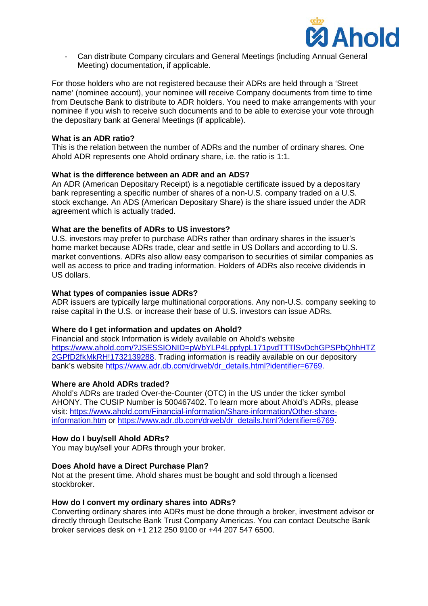

- Can distribute Company circulars and General Meetings (including Annual General Meeting) documentation, if applicable.

For those holders who are not registered because their ADRs are held through a 'Street name' (nominee account), your nominee will receive Company documents from time to time from Deutsche Bank to distribute to ADR holders. You need to make arrangements with your nominee if you wish to receive such documents and to be able to exercise your vote through the depositary bank at General Meetings (if applicable).

# **What is an ADR ratio?**

This is the relation between the number of ADRs and the number of ordinary shares. One Ahold ADR represents one Ahold ordinary share, i.e. the ratio is 1:1.

# **What is the difference between an ADR and an ADS?**

An ADR (American Depositary Receipt) is a negotiable certificate issued by a depositary bank representing a specific number of shares of a non-U.S. company traded on a U.S. stock exchange. An ADS (American Depositary Share) is the share issued under the ADR agreement which is actually traded.

# **What are the benefits of ADRs to US investors?**

U.S. investors may prefer to purchase ADRs rather than ordinary shares in the issuer's home market because ADRs trade, clear and settle in US Dollars and according to U.S. market conventions. ADRs also allow easy comparison to securities of similar companies as well as access to price and trading information. Holders of ADRs also receive dividends in US dollars.

# **What types of companies issue ADRs?**

ADR issuers are typically large multinational corporations. Any non-U.S. company seeking to raise capital in the U.S. or increase their base of U.S. investors can issue ADRs.

#### **Where do I get information and updates on Ahold?**

Financial and stock Information is widely available on Ahold's website https://www.ahold.com/?JSESSIONID=pWbYLP4LppfypL171pvdTTTlSvDchGPSPbQhhHTZ 2GPfD2fkMkRH!1732139288. Trading information is readily available on our depository bank's website [https://www.adr.db.com/drweb/dr\\_details.html?identifier=6769.](https://www.adr.db.com/drweb/dr_details.html?identifier=6769)

#### **Where are Ahold ADRs traded?**

Ahold's ADRs are traded Over-the-Counter (OTC) in the US under the ticker symbol AHONY. The CUSIP Number is 500467402. To learn more about Ahold's ADRs, please visit: https://www.ahold.com/Financial-information/Share-information/Other-shareinformation.htm or [https://www.adr.db.com/drweb/dr\\_details.html?identifier=6769.](https://www.adr.db.com/drweb/dr_details.html?identifier=6769)

#### **How do I buy/sell Ahold ADRs?**

You may buy/sell your ADRs through your broker.

#### **Does Ahold have a Direct Purchase Plan?**

Not at the present time. Ahold shares must be bought and sold through a licensed stockbroker.

#### **How do I convert my ordinary shares into ADRs?**

Converting ordinary shares into ADRs must be done through a broker, investment advisor or directly through Deutsche Bank Trust Company Americas. You can contact Deutsche Bank broker services desk on +1 212 250 9100 or +44 207 547 6500.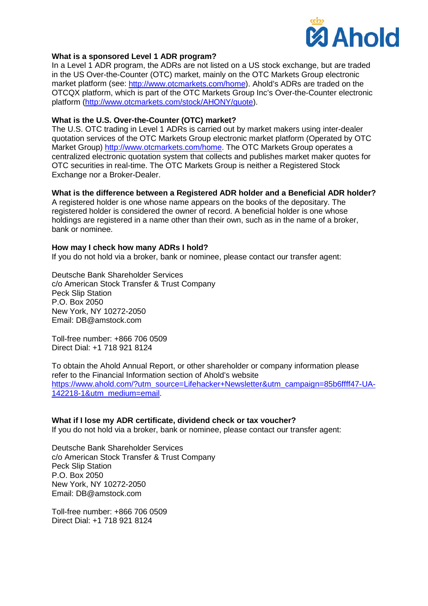

# **What is a sponsored Level 1 ADR program?**

In a Level 1 ADR program, the ADRs are not listed on a US stock exchange, but are traded in the US Over-the-Counter (OTC) market, mainly on the OTC Markets Group electronic market platform (see: [http://www.otcmarkets.com/home\)](http://www.otcmarkets.com/home). Ahold's ADRs are traded on the OTCQX platform, which is part of the OTC Markets Group Inc's Over-the-Counter electronic platform [\(http://www.otcmarkets.com/stock/AHONY/quote\)](http://www.otcmarkets.com/stock/AHONY/quote).

# **What is the U.S. Over-the-Counter (OTC) market?**

The U.S. OTC trading in Level 1 ADRs is carried out by market makers using inter-dealer quotation services of the OTC Markets Group electronic market platform (Operated by OTC Market Group) [http://www.otcmarkets.com/home.](http://www.otcmarkets.com/home) The OTC Markets Group operates a centralized electronic quotation system that collects and publishes market maker quotes for OTC securities in real-time. The OTC Markets Group is neither a Registered Stock Exchange nor a Broker-Dealer.

# **What is the difference between a Registered ADR holder and a Beneficial ADR holder?**

A registered holder is one whose name appears on the books of the depositary. The registered holder is considered the owner of record. A beneficial holder is one whose holdings are registered in a name other than their own, such as in the name of a broker, bank or nominee.

# **How may I check how many ADRs I hold?**

If you do not hold via a broker, bank or nominee, please contact our transfer agent:

Deutsche Bank Shareholder Services c/o American Stock Transfer & Trust Company Peck Slip Station P.O. Box 2050 New York, NY 10272-2050 Email: DB@amstock.com

Toll-free number: +866 706 0509 Direct Dial: +1 718 921 8124

To obtain the Ahold Annual Report, or other shareholder or company information please refer to the Financial Information section of Ahold's website [https://www.ahold.com/?utm\\_source=Lifehacker+Newsletter&utm\\_campaign=85b6ffff47-UA-](https://www.ahold.com/?utm_source=Lifehacker+Newsletter&utm_campaign=85b6ffff47-UA-142218-1&utm_medium=email)[142218-1&utm\\_medium=email.](https://www.ahold.com/?utm_source=Lifehacker+Newsletter&utm_campaign=85b6ffff47-UA-142218-1&utm_medium=email)

#### **What if I lose my ADR certificate, dividend check or tax voucher?**

If you do not hold via a broker, bank or nominee, please contact our transfer agent:

Deutsche Bank Shareholder Services c/o American Stock Transfer & Trust Company Peck Slip Station P.O. Box 2050 New York, NY 10272-2050 Email: DB@amstock.com

Toll-free number: +866 706 0509 Direct Dial: +1 718 921 8124